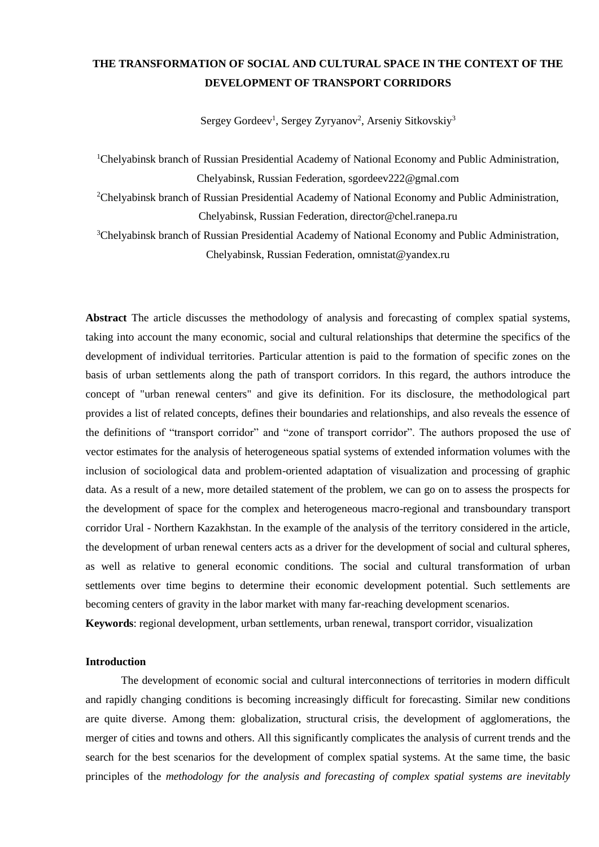# **THE TRANSFORMATION OF SOCIAL AND CULTURAL SPACE IN THE CONTEXT OF THE DEVELOPMENT OF TRANSPORT CORRIDORS**

Sergey Gordeev<sup>1</sup>, Sergey Zyryanov<sup>2</sup>, Arseniy Sitkovskiy<sup>3</sup>

<sup>1</sup>Chelyabinsk branch of Russian Presidential Academy of National Economy and Public Administration, Chelyabinsk, Russian Federation, sgordeev222@gmal.com

<sup>2</sup>Chelyabinsk branch of Russian Presidential Academy of National Economy and Public Administration, Chelyabinsk, Russian Federation, director@chel.ranepa.ru

<sup>3</sup>Chelyabinsk branch of Russian Presidential Academy of National Economy and Public Administration, Chelyabinsk, Russian Federation, omnistat@yandex.ru

**Abstract** The article discusses the methodology of analysis and forecasting of complex spatial systems, taking into account the many economic, social and cultural relationships that determine the specifics of the development of individual territories. Particular attention is paid to the formation of specific zones on the basis of urban settlements along the path of transport corridors. In this regard, the authors introduce the concept of "urban renewal centers" and give its definition. For its disclosure, the methodological part provides a list of related concepts, defines their boundaries and relationships, and also reveals the essence of the definitions of "transport corridor" and "zone of transport corridor". The authors proposed the use of vector estimates for the analysis of heterogeneous spatial systems of extended information volumes with the inclusion of sociological data and problem-oriented adaptation of visualization and processing of graphic data. As a result of a new, more detailed statement of the problem, we can go on to assess the prospects for the development of space for the complex and heterogeneous macro-regional and transboundary transport corridor Ural - Northern Kazakhstan. In the example of the analysis of the territory considered in the article, the development of urban renewal centers acts as a driver for the development of social and cultural spheres, as well as relative to general economic conditions. The social and cultural transformation of urban settlements over time begins to determine their economic development potential. Such settlements are becoming centers of gravity in the labor market with many far-reaching development scenarios.

**Keywords**: regional development, urban settlements, urban renewal, transport corridor, visualization

## **Introduction**

The development of economic social and cultural interconnections of territories in modern difficult and rapidly changing conditions is becoming increasingly difficult for forecasting. Similar new conditions are quite diverse. Among them: globalization, structural crisis, the development of agglomerations, the merger of cities and towns and others. All this significantly complicates the analysis of current trends and the search for the best scenarios for the development of complex spatial systems. At the same time, the basic principles of the *methodology for the analysis and forecasting of complex spatial systems are inevitably*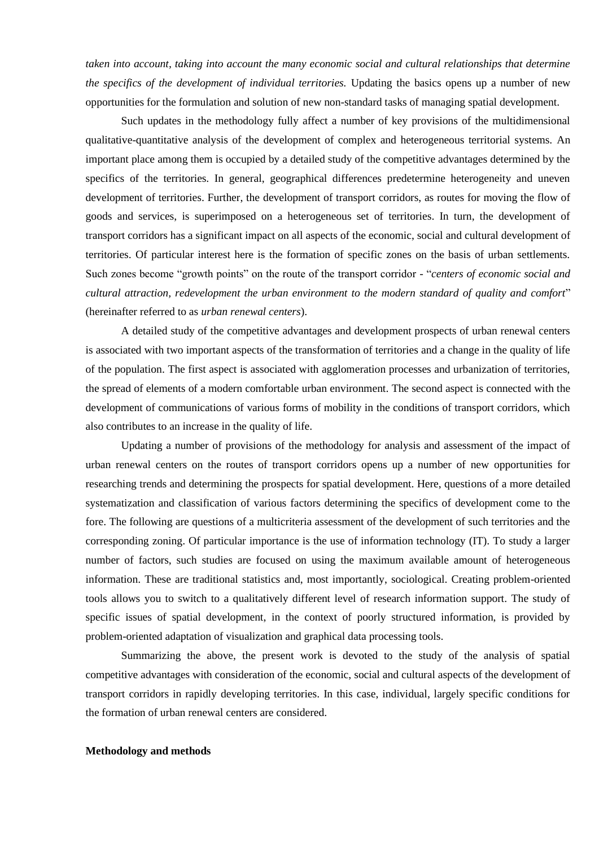*taken into account, taking into account the many economic social and cultural relationships that determine the specifics of the development of individual territories.* Updating the basics opens up a number of new opportunities for the formulation and solution of new non-standard tasks of managing spatial development.

Such updates in the methodology fully affect a number of key provisions of the multidimensional qualitative-quantitative analysis of the development of complex and heterogeneous territorial systems. An important place among them is occupied by a detailed study of the competitive advantages determined by the specifics of the territories. In general, geographical differences predetermine heterogeneity and uneven development of territories. Further, the development of transport corridors, as routes for moving the flow of goods and services, is superimposed on a heterogeneous set of territories. In turn, the development of transport corridors has a significant impact on all aspects of the economic, social and cultural development of territories. Of particular interest here is the formation of specific zones on the basis of urban settlements. Such zones become "growth points" on the route of the transport corridor - "*centers of economic social and cultural attraction, redevelopment the urban environment to the modern standard of quality and comfort*" (hereinafter referred to as *urban renewal centers*).

A detailed study of the competitive advantages and development prospects of urban renewal centers is associated with two important aspects of the transformation of territories and a change in the quality of life of the population. The first aspect is associated with agglomeration processes and urbanization of territories, the spread of elements of a modern comfortable urban environment. The second aspect is connected with the development of communications of various forms of mobility in the conditions of transport corridors, which also contributes to an increase in the quality of life.

Updating a number of provisions of the methodology for analysis and assessment of the impact of urban renewal centers on the routes of transport corridors opens up a number of new opportunities for researching trends and determining the prospects for spatial development. Here, questions of a more detailed systematization and classification of various factors determining the specifics of development come to the fore. The following are questions of a multicriteria assessment of the development of such territories and the corresponding zoning. Of particular importance is the use of information technology (IT). To study a larger number of factors, such studies are focused on using the maximum available amount of heterogeneous information. These are traditional statistics and, most importantly, sociological. Creating problem-oriented tools allows you to switch to a qualitatively different level of research information support. The study of specific issues of spatial development, in the context of poorly structured information, is provided by problem-oriented adaptation of visualization and graphical data processing tools.

Summarizing the above, the present work is devoted to the study of the analysis of spatial competitive advantages with consideration of the economic, social and cultural aspects of the development of transport corridors in rapidly developing territories. In this case, individual, largely specific conditions for the formation of urban renewal centers are considered.

#### **Methodology and methods**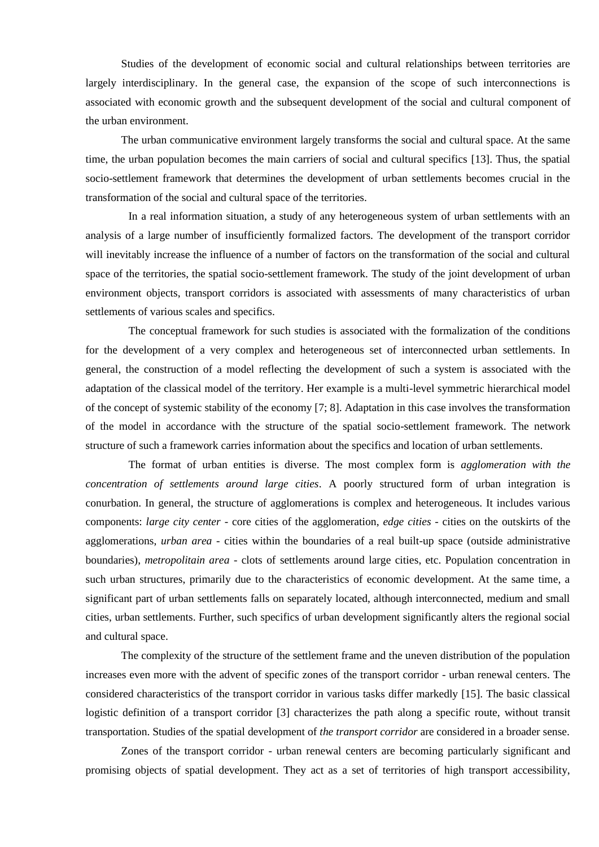Studies of the development of economic social and cultural relationships between territories are largely interdisciplinary. In the general case, the expansion of the scope of such interconnections is associated with economic growth and the subsequent development of the social and cultural component of the urban environment.

The urban communicative environment largely transforms the social and cultural space. At the same time, the urban population becomes the main carriers of social and cultural specifics [13]. Thus, the spatial socio-settlement framework that determines the development of urban settlements becomes crucial in the transformation of the social and cultural space of the territories.

In a real information situation, a study of any heterogeneous system of urban settlements with an analysis of a large number of insufficiently formalized factors. The development of the transport corridor will inevitably increase the influence of a number of factors on the transformation of the social and cultural space of the territories, the spatial socio-settlement framework. The study of the joint development of urban environment objects, transport corridors is associated with assessments of many characteristics of urban settlements of various scales and specifics.

The conceptual framework for such studies is associated with the formalization of the conditions for the development of a very complex and heterogeneous set of interconnected urban settlements. In general, the construction of a model reflecting the development of such a system is associated with the adaptation of the classical model of the territory. Her example is a multi-level symmetric hierarchical model of the concept of systemic stability of the economy [7; 8]. Adaptation in this case involves the transformation of the model in accordance with the structure of the spatial socio-settlement framework. The network structure of such a framework carries information about the specifics and location of urban settlements.

The format of urban entities is diverse. The most complex form is *agglomeration with the concentration of settlements around large cities*. A poorly structured form of urban integration is conurbation. In general, the structure of agglomerations is complex and heterogeneous. It includes various components: *large city center* - core cities of the agglomeration, *edge cities* - cities on the outskirts of the agglomerations, *urban area* - cities within the boundaries of a real built-up space (outside administrative boundaries), *metropolitain area* - clots of settlements around large cities, etc. Population concentration in such urban structures, primarily due to the characteristics of economic development. At the same time, a significant part of urban settlements falls on separately located, although interconnected, medium and small cities, urban settlements. Further, such specifics of urban development significantly alters the regional social and cultural space.

The complexity of the structure of the settlement frame and the uneven distribution of the population increases even more with the advent of specific zones of the transport corridor - urban renewal centers. The considered characteristics of the transport corridor in various tasks differ markedly [15]. The basic classical logistic definition of a transport corridor [3] characterizes the path along a specific route, without transit transportation. Studies of the spatial development of *the transport corridor* are considered in a broader sense.

Zones of the transport corridor - urban renewal centers are becoming particularly significant and promising objects of spatial development. They act as a set of territories of high transport accessibility,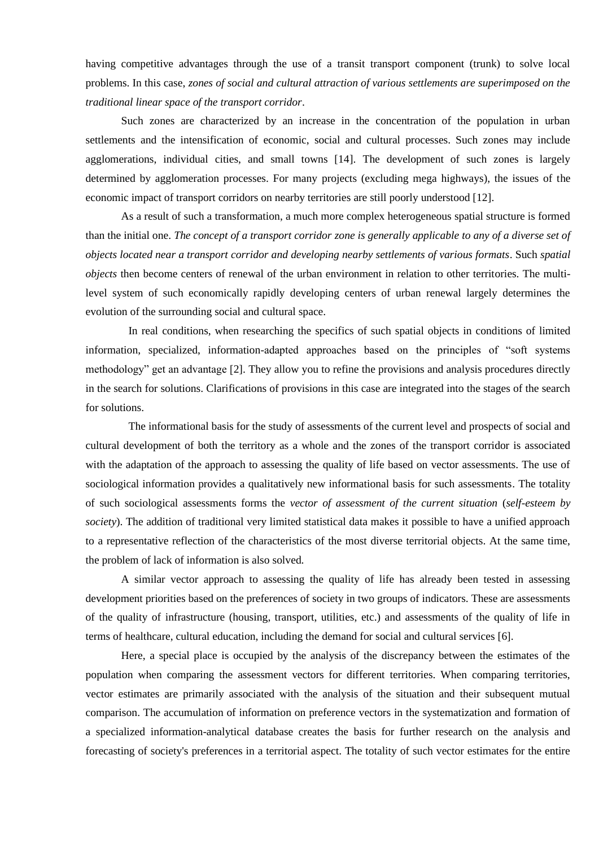having competitive advantages through the use of a transit transport component (trunk) to solve local problems. In this case, *zones of social and cultural attraction of various settlements are superimposed on the traditional linear space of the transport corridor*.

Such zones are characterized by an increase in the concentration of the population in urban settlements and the intensification of economic, social and cultural processes. Such zones may include agglomerations, individual cities, and small towns [14]. The development of such zones is largely determined by agglomeration processes. For many projects (excluding mega highways), the issues of the economic impact of transport corridors on nearby territories are still poorly understood [12].

As a result of such a transformation, a much more complex heterogeneous spatial structure is formed than the initial one. *The concept of a transport corridor zone is generally applicable to any of a diverse set of objects located near a transport corridor and developing nearby settlements of various formats*. Such *spatial objects* then become centers of renewal of the urban environment in relation to other territories. The multilevel system of such economically rapidly developing centers of urban renewal largely determines the evolution of the surrounding social and cultural space.

In real conditions, when researching the specifics of such spatial objects in conditions of limited information, specialized, information-adapted approaches based on the principles of "soft systems methodology" get an advantage [2]. They allow you to refine the provisions and analysis procedures directly in the search for solutions. Clarifications of provisions in this case are integrated into the stages of the search for solutions.

The informational basis for the study of assessments of the current level and prospects of social and cultural development of both the territory as a whole and the zones of the transport corridor is associated with the adaptation of the approach to assessing the quality of life based on vector assessments. The use of sociological information provides a qualitatively new informational basis for such assessments. The totality of such sociological assessments forms the *vector of assessment of the current situation* (*self-esteem by society*). The addition of traditional very limited statistical data makes it possible to have a unified approach to a representative reflection of the characteristics of the most diverse territorial objects. At the same time, the problem of lack of information is also solved.

A similar vector approach to assessing the quality of life has already been tested in assessing development priorities based on the preferences of society in two groups of indicators. These are assessments of the quality of infrastructure (housing, transport, utilities, etc.) and assessments of the quality of life in terms of healthcare, cultural education, including the demand for social and cultural services [6].

Here, a special place is occupied by the analysis of the discrepancy between the estimates of the population when comparing the assessment vectors for different territories. When comparing territories, vector estimates are primarily associated with the analysis of the situation and their subsequent mutual comparison. The accumulation of information on preference vectors in the systematization and formation of a specialized information-analytical database creates the basis for further research on the analysis and forecasting of society's preferences in a territorial aspect. The totality of such vector estimates for the entire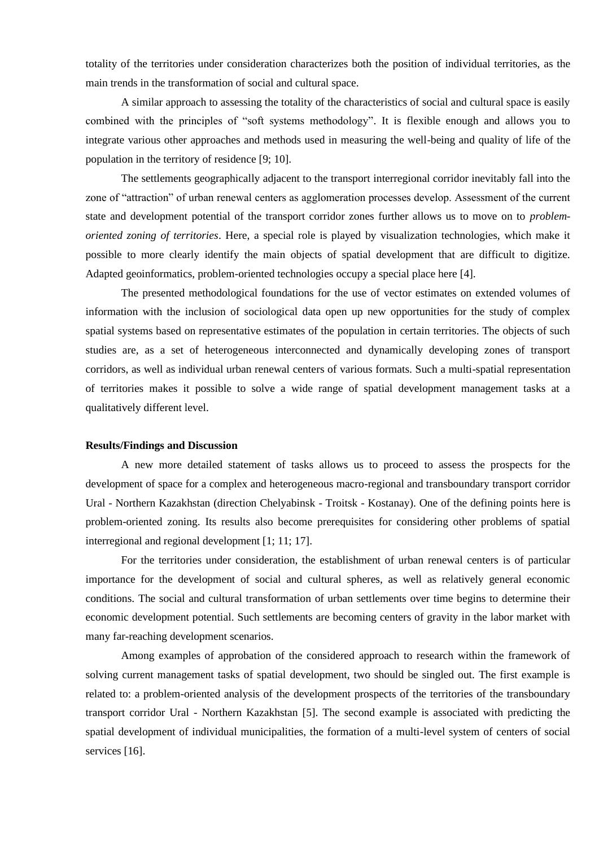totality of the territories under consideration characterizes both the position of individual territories, as the main trends in the transformation of social and cultural space.

A similar approach to assessing the totality of the characteristics of social and cultural space is easily combined with the principles of "soft systems methodology". It is flexible enough and allows you to integrate various other approaches and methods used in measuring the well-being and quality of life of the population in the territory of residence [9; 10].

The settlements geographically adjacent to the transport interregional corridor inevitably fall into the zone of "attraction" of urban renewal centers as agglomeration processes develop. Assessment of the current state and development potential of the transport corridor zones further allows us to move on to *problemoriented zoning of territories*. Here, a special role is played by visualization technologies, which make it possible to more clearly identify the main objects of spatial development that are difficult to digitize. Adapted geoinformatics, problem-oriented technologies occupy a special place here [4].

The presented methodological foundations for the use of vector estimates on extended volumes of information with the inclusion of sociological data open up new opportunities for the study of complex spatial systems based on representative estimates of the population in certain territories. The objects of such studies are, as a set of heterogeneous interconnected and dynamically developing zones of transport corridors, as well as individual urban renewal centers of various formats. Such a multi-spatial representation of territories makes it possible to solve a wide range of spatial development management tasks at a qualitatively different level.

# **Results/Findings and Discussion**

A new more detailed statement of tasks allows us to proceed to assess the prospects for the development of space for a complex and heterogeneous macro-regional and transboundary transport corridor Ural - Northern Kazakhstan (direction Chelyabinsk - Troitsk - Kostanay). One of the defining points here is problem-oriented zoning. Its results also become prerequisites for considering other problems of spatial interregional and regional development [1; 11; 17].

For the territories under consideration, the establishment of urban renewal centers is of particular importance for the development of social and cultural spheres, as well as relatively general economic conditions. The social and cultural transformation of urban settlements over time begins to determine their economic development potential. Such settlements are becoming centers of gravity in the labor market with many far-reaching development scenarios.

Among examples of approbation of the considered approach to research within the framework of solving current management tasks of spatial development, two should be singled out. The first example is related to: a problem-oriented analysis of the development prospects of the territories of the transboundary transport corridor Ural - Northern Kazakhstan [5]. The second example is associated with predicting the spatial development of individual municipalities, the formation of a multi-level system of centers of social services [16].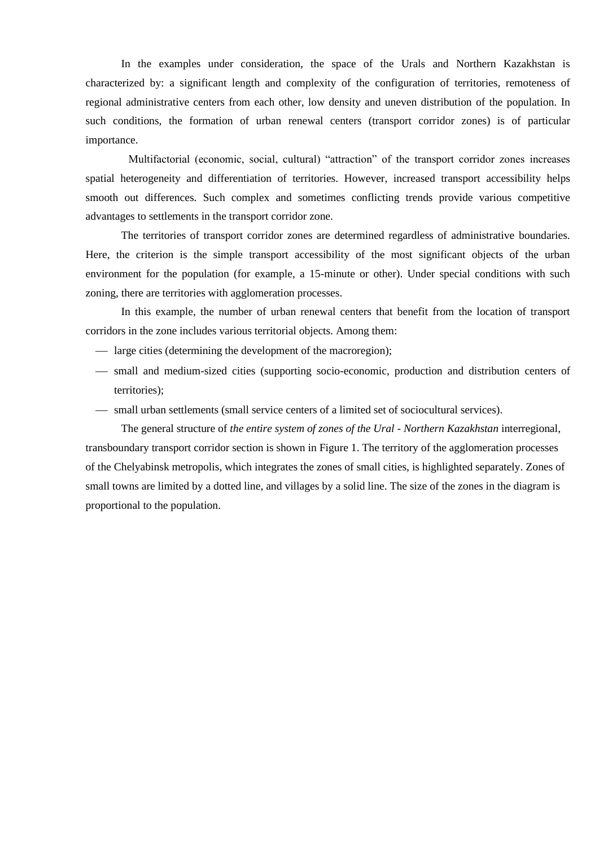In the examples under consideration, the space of the Urals and Northern Kazakhstan is characterized by: a significant length and complexity of the configuration of territories, remoteness of regional administrative centers from each other, low density and uneven distribution of the population. In such conditions, the formation of urban renewal centers (transport corridor zones) is of particular importance.

Multifactorial (economic, social, cultural) "attraction" of the transport corridor zones increases spatial heterogeneity and differentiation of territories. However, increased transport accessibility helps smooth out differences. Such complex and sometimes conflicting trends provide various competitive advantages to settlements in the transport corridor zone.

The territories of transport corridor zones are determined regardless of administrative boundaries. Here, the criterion is the simple transport accessibility of the most significant objects of the urban environment for the population (for example, a 15-minute or other). Under special conditions with such zoning, there are territories with agglomeration processes.

In this example, the number of urban renewal centers that benefit from the location of transport corridors in the zone includes various territorial objects. Among them:

- $\frac{1}{2}$  large cities (determining the development of the macroregion);
- $-$  small and medium-sized cities (supporting socio-economic, production and distribution centers of territories);
- $-$  small urban settlements (small service centers of a limited set of sociocultural services).

The general structure of *the entire system of zones of the Ural - Northern Kazakhstan* interregional, transboundary transport corridor section is shown in Figure 1. The territory of the agglomeration processes of the Chelyabinsk metropolis, which integrates the zones of small cities, is highlighted separately. Zones of small towns are limited by a dotted line, and villages by a solid line. The size of the zones in the diagram is proportional to the population.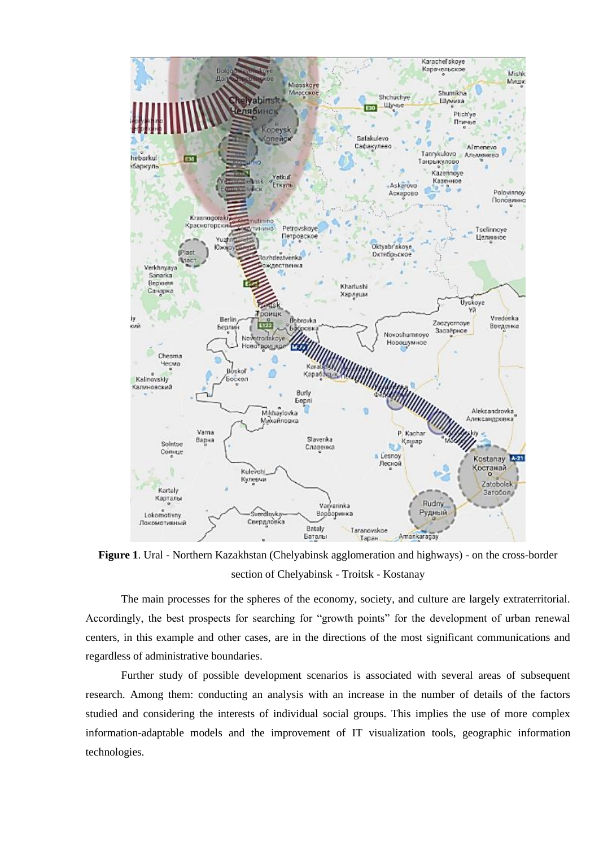

**Figure 1**. Ural - Northern Kazakhstan (Chelyabinsk agglomeration and highways) - on the cross-border section of Chelyabinsk - Troitsk - Kostanay

The main processes for the spheres of the economy, society, and culture are largely extraterritorial. Accordingly, the best prospects for searching for "growth points" for the development of urban renewal centers, in this example and other cases, are in the directions of the most significant communications and regardless of administrative boundaries.

Further study of possible development scenarios is associated with several areas of subsequent research. Among them: conducting an analysis with an increase in the number of details of the factors studied and considering the interests of individual social groups. This implies the use of more complex information-adaptable models and the improvement of IT visualization tools, geographic information technologies.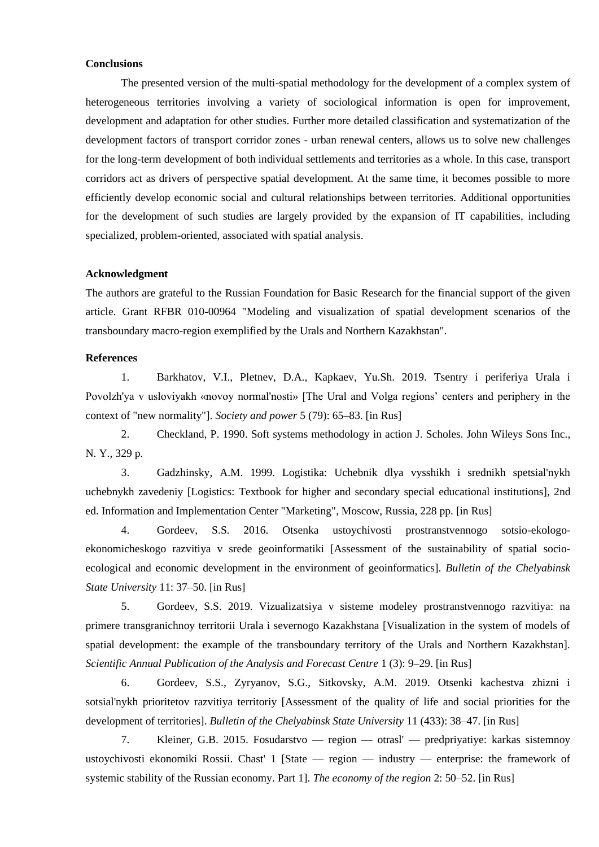# **Conclusions**

The presented version of the multi-spatial methodology for the development of a complex system of heterogeneous territories involving a variety of sociological information is open for improvement, development and adaptation for other studies. Further more detailed classification and systematization of the development factors of transport corridor zones - urban renewal centers, allows us to solve new challenges for the long-term development of both individual settlements and territories as a whole. In this case, transport corridors act as drivers of perspective spatial development. At the same time, it becomes possible to more efficiently develop economic social and cultural relationships between territories. Additional opportunities for the development of such studies are largely provided by the expansion of IT capabilities, including specialized, problem-oriented, associated with spatial analysis.

#### **Acknowledgment**

The authors are grateful to the Russian Foundation for Basic Research for the financial support of the given article. Grant RFBR 010-00964 "Modeling and visualization of spatial development scenarios of the transboundary macro-region exemplified by the Urals and Northern Kazakhstan".

### **References**

1. Barkhatov, V.I., Pletnev, D.A., Kapkaev, Yu.Sh. 2019. Tsentry i periferiya Urala i Povolzh'ya v usloviyakh «novoy normal'nosti» [The Ural and Volga regions' centers and periphery in the context of "new normality"]. *Society and power* 5 (79): 65–83. [in Rus]

2. Checkland, P. 1990. Soft systems methodology in action J. Scholes. John Wileys Sons Inc., N. Y., 329 p.

3. Gadzhinsky, A.M. 1999. Logistika: Uchebnik dlya vysshikh i srednikh spetsial'nykh uchebnykh zavedeniy [Logistics: Textbook for higher and secondary special educational institutions], 2nd ed. Information and Implementation Center "Marketing", Moscow, Russia, 228 pp. [in Rus]

4. Gordeev, S.S. 2016. Otsenka ustoychivosti prostranstvennogo sotsio-ekologoekonomicheskogo razvitiya v srede geoinformatiki [Assessment of the sustainability of spatial socioecological and economic development in the environment of geoinformatics]. *Bulletin of the Chelyabinsk State University* 11: 37–50. [in Rus]

5. Gordeev, S.S. 2019. Vizualizatsiya v sisteme modeley prostranstvennogo razvitiya: na primere transgranichnoy territorii Urala i severnogo Kazakhstana [Visualization in the system of models of spatial development: the example of the transboundary territory of the Urals and Northern Kazakhstan]. *Scientific Annual Publication of the Analysis and Forecast Centre* 1 (3): 9–29. [in Rus]

6. Gordeev, S.S., Zyryanov, S.G., Sitkovsky, A.M. 2019. Otsenki kachestva zhizni i sotsial'nykh prioritetov razvitiya territoriy [Assessment of the quality of life and social priorities for the development of territories]. *Bulletin of the Chelyabinsk State University* 11 (433): 38–47. [in Rus]

7. Kleiner, G.B. 2015. Fosudarstvo — region — otrasl' — predpriyatiye: karkas sistemnoy ustoychivosti ekonomiki Rossii. Chast' 1 [State — region — industry — enterprise: the framework of systemic stability of the Russian economy. Part 1]. *The economy of the region* 2: 50–52. [in Rus]